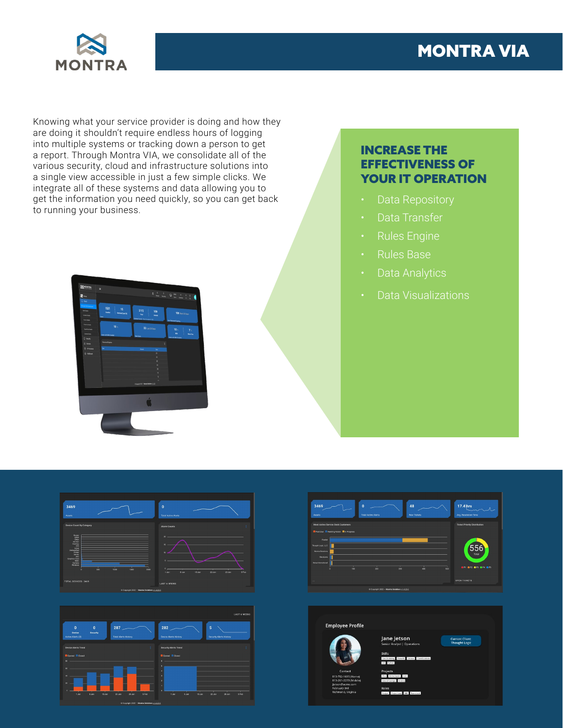



Knowing what your service provider is doing and how they are doing it shouldn't require endless hours of logging into multiple systems or tracking down a person to get a report. Through Montra VIA, we consolidate all of the various security, cloud and infrastructure solutions into a single view accessible in just a few simple clicks. We integrate all of these systems and data allowing you to get the information you need quickly, so you can get back to running your business.



## INCREASE THE EFFECTIVENESS OF YOUR IT OPERATION

- Data Repository
- Data Transfer
- Rules Engine
- Rules Base
- 
- Data Visualizations







## **Employee Profile**



Jane Jetson



**Current Client:**<br>Thought Logic